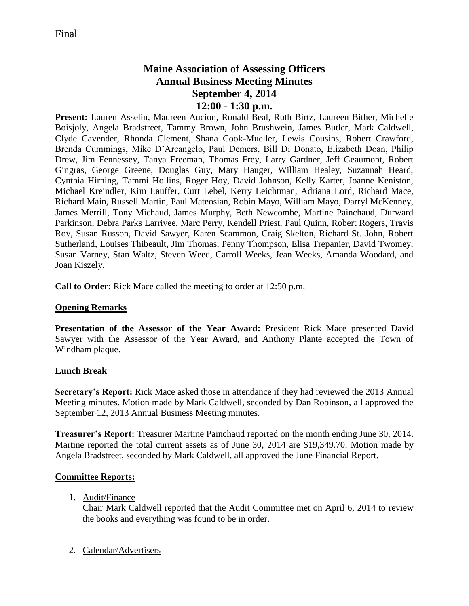# **Maine Association of Assessing Officers Annual Business Meeting Minutes September 4, 2014 12:00 - 1:30 p.m.**

**Present:** Lauren Asselin, Maureen Aucion, Ronald Beal, Ruth Birtz, Laureen Bither, Michelle Boisjoly, Angela Bradstreet, Tammy Brown, John Brushwein, James Butler, Mark Caldwell, Clyde Cavender, Rhonda Clement, Shana Cook-Mueller, Lewis Cousins, Robert Crawford, Brenda Cummings, Mike D'Arcangelo, Paul Demers, Bill Di Donato, Elizabeth Doan, Philip Drew, Jim Fennessey, Tanya Freeman, Thomas Frey, Larry Gardner, Jeff Geaumont, Robert Gingras, George Greene, Douglas Guy, Mary Hauger, William Healey, Suzannah Heard, Cynthia Hirning, Tammi Hollins, Roger Hoy, David Johnson, Kelly Karter, Joanne Keniston, Michael Kreindler, Kim Lauffer, Curt Lebel, Kerry Leichtman, Adriana Lord, Richard Mace, Richard Main, Russell Martin, Paul Mateosian, Robin Mayo, William Mayo, Darryl McKenney, James Merrill, Tony Michaud, James Murphy, Beth Newcombe, Martine Painchaud, Durward Parkinson, Debra Parks Larrivee, Marc Perry, Kendell Priest, Paul Quinn, Robert Rogers, Travis Roy, Susan Russon, David Sawyer, Karen Scammon, Craig Skelton, Richard St. John, Robert Sutherland, Louises Thibeault, Jim Thomas, Penny Thompson, Elisa Trepanier, David Twomey, Susan Varney, Stan Waltz, Steven Weed, Carroll Weeks, Jean Weeks, Amanda Woodard, and Joan Kiszely.

**Call to Order:** Rick Mace called the meeting to order at 12:50 p.m.

### **Opening Remarks**

**Presentation of the Assessor of the Year Award:** President Rick Mace presented David Sawyer with the Assessor of the Year Award, and Anthony Plante accepted the Town of Windham plaque.

#### **Lunch Break**

**Secretary's Report:** Rick Mace asked those in attendance if they had reviewed the 2013 Annual Meeting minutes. Motion made by Mark Caldwell, seconded by Dan Robinson, all approved the September 12, 2013 Annual Business Meeting minutes.

**Treasurer's Report:** Treasurer Martine Painchaud reported on the month ending June 30, 2014. Martine reported the total current assets as of June 30, 2014 are \$19,349.70. Motion made by Angela Bradstreet, seconded by Mark Caldwell, all approved the June Financial Report.

#### **Committee Reports:**

#### 1. Audit/Finance

Chair Mark Caldwell reported that the Audit Committee met on April 6, 2014 to review the books and everything was found to be in order.

2. Calendar/Advertisers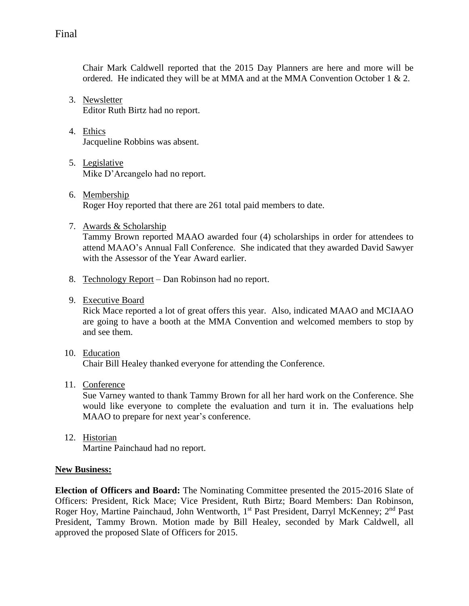Chair Mark Caldwell reported that the 2015 Day Planners are here and more will be ordered. He indicated they will be at MMA and at the MMA Convention October 1  $& 2$ .

- 3. Newsletter Editor Ruth Birtz had no report.
- 4. Ethics Jacqueline Robbins was absent.
- 5. Legislative Mike D'Arcangelo had no report.
- 6. Membership Roger Hoy reported that there are 261 total paid members to date.
- 7. Awards & Scholarship

Tammy Brown reported MAAO awarded four (4) scholarships in order for attendees to attend MAAO's Annual Fall Conference. She indicated that they awarded David Sawyer with the Assessor of the Year Award earlier.

- 8. Technology Report Dan Robinson had no report.
- 9. Executive Board

Rick Mace reported a lot of great offers this year. Also, indicated MAAO and MCIAAO are going to have a booth at the MMA Convention and welcomed members to stop by and see them.

10. Education

Chair Bill Healey thanked everyone for attending the Conference.

11. Conference

Sue Varney wanted to thank Tammy Brown for all her hard work on the Conference. She would like everyone to complete the evaluation and turn it in. The evaluations help MAAO to prepare for next year's conference.

12. Historian Martine Painchaud had no report.

#### **New Business:**

**Election of Officers and Board:** The Nominating Committee presented the 2015-2016 Slate of Officers: President, Rick Mace; Vice President, Ruth Birtz; Board Members: Dan Robinson, Roger Hoy, Martine Painchaud, John Wentworth, 1<sup>st</sup> Past President, Darryl McKenney; 2<sup>nd</sup> Past President, Tammy Brown. Motion made by Bill Healey, seconded by Mark Caldwell, all approved the proposed Slate of Officers for 2015.